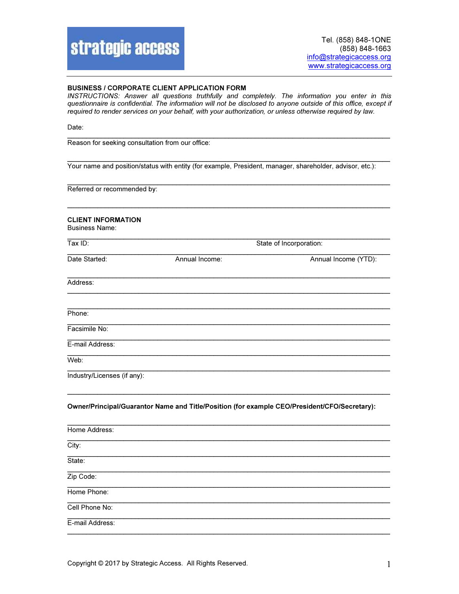

## BUSINESS / CORPORATE CLIENT APPLICATION FORM

INSTRUCTIONS: Answer all questions truthfully and completely. The information you enter in this questionnaire is confidential. The information will not be disclosed to anyone outside of this office, except if required to render services on your behalf, with your authorization, or unless otherwise required by law.

\_\_\_\_\_\_\_\_\_\_\_\_\_\_\_\_\_\_\_\_\_\_\_\_\_\_\_\_\_\_\_\_\_\_\_\_\_\_\_\_\_\_\_\_\_\_\_\_\_\_\_\_\_\_\_\_\_\_\_\_\_\_\_\_\_\_\_\_\_\_\_\_\_\_\_\_\_\_\_\_\_\_\_\_\_\_

\_\_\_\_\_\_\_\_\_\_\_\_\_\_\_\_\_\_\_\_\_\_\_\_\_\_\_\_\_\_\_\_\_\_\_\_\_\_\_\_\_\_\_\_\_\_\_\_\_\_\_\_\_\_\_\_\_\_\_\_\_\_\_\_\_\_\_\_\_\_\_\_\_\_\_\_\_\_\_\_\_\_\_\_\_\_

\_\_\_\_\_\_\_\_\_\_\_\_\_\_\_\_\_\_\_\_\_\_\_\_\_\_\_\_\_\_\_\_\_\_\_\_\_\_\_\_\_\_\_\_\_\_\_\_\_\_\_\_\_\_\_\_\_\_\_\_\_\_\_\_\_\_\_\_\_\_\_\_\_\_\_\_\_\_\_\_\_\_\_\_\_\_

\_\_\_\_\_\_\_\_\_\_\_\_\_\_\_\_\_\_\_\_\_\_\_\_\_\_\_\_\_\_\_\_\_\_\_\_\_\_\_\_\_\_\_\_\_\_\_\_\_\_\_\_\_\_\_\_\_\_\_\_\_\_\_\_\_\_\_\_\_\_\_\_\_\_\_\_\_\_\_\_\_\_\_\_\_\_

Date:

Reason for seeking consultation from our office:

Your name and position/status with entity (for example, President, manager, shareholder, advisor, etc.):

Referred or recommended by:

## CLIENT INFORMATION

Business Name:

| TaxID:                      | State of Incorporation:                                                                      |                      |  |  |  |
|-----------------------------|----------------------------------------------------------------------------------------------|----------------------|--|--|--|
| Date Started:               | Annual Income:                                                                               | Annual Income (YTD): |  |  |  |
| Address:                    |                                                                                              |                      |  |  |  |
| Phone:                      |                                                                                              |                      |  |  |  |
| Facsimile No:               |                                                                                              |                      |  |  |  |
| E-mail Address:             |                                                                                              |                      |  |  |  |
| Web:                        |                                                                                              |                      |  |  |  |
| Industry/Licenses (if any): |                                                                                              |                      |  |  |  |
|                             | Owner/Principal/Guarantor Name and Title/Position (for example CEO/President/CFO/Secretary): |                      |  |  |  |
| Home Address:               |                                                                                              |                      |  |  |  |
| City:                       |                                                                                              |                      |  |  |  |
|                             |                                                                                              |                      |  |  |  |
| State:                      |                                                                                              |                      |  |  |  |
|                             |                                                                                              |                      |  |  |  |
| Zip Code:<br>Home Phone:    |                                                                                              |                      |  |  |  |
| Cell Phone No:              |                                                                                              |                      |  |  |  |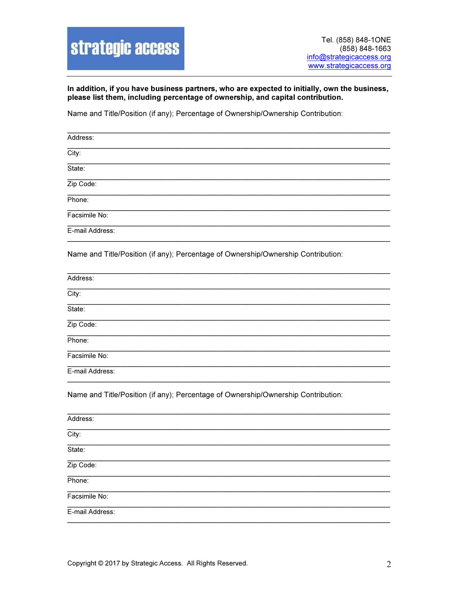# strategic access

## In addition, if you have business partners, who are expected to initially, own the business, please list them, including percentage of ownership, and capital contribution.

Name and Title/Position (if any); Percentage of Ownership/Ownership Contribution:

| Address:        |  |  |
|-----------------|--|--|
| City:           |  |  |
| State:          |  |  |
| Zip Code:       |  |  |
| Phone:          |  |  |
| Facsimile No:   |  |  |
| E-mail Address: |  |  |
|                 |  |  |

Name and Title/Position (if any); Percentage of Ownership/Ownership Contribution:

Address:

 $City:$ 

State:

Zip Code:

Phone:

Facsimile No:

E-mail Address:

Name and Title/Position (if any); Percentage of Ownership/Ownership Contribution:

| Address:        |  |  |  |
|-----------------|--|--|--|
| City:           |  |  |  |
| State:          |  |  |  |
| Zip Code:       |  |  |  |
| Phone:          |  |  |  |
| Facsimile No:   |  |  |  |
| E-mail Address: |  |  |  |
|                 |  |  |  |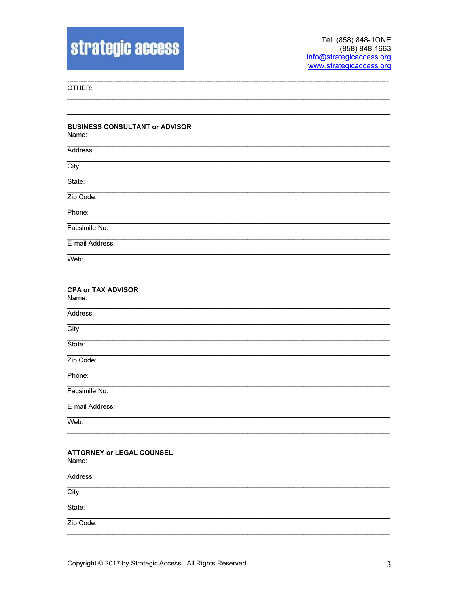### OTHER:

### **BUSINESS CONSULTANT or ADVISOR** Name:

| Address:        |
|-----------------|
| City:           |
| State:          |
| Zip Code:       |
| Phone:          |
| Facsimile No:   |
| E-mail Address: |
| Web:            |

#### **CPA or TAX ADVISOR** Name:

| Address:        |
|-----------------|
| City:           |
| State:          |
| Zip Code:       |
| Phone:          |
| Facsimile No:   |
| E-mail Address: |
| Web:            |
|                 |

## **ATTORNEY or LEGAL COUNSEL**

Name:

| Address:  |  |  |  |
|-----------|--|--|--|
| City:     |  |  |  |
| State:    |  |  |  |
| Zip Code: |  |  |  |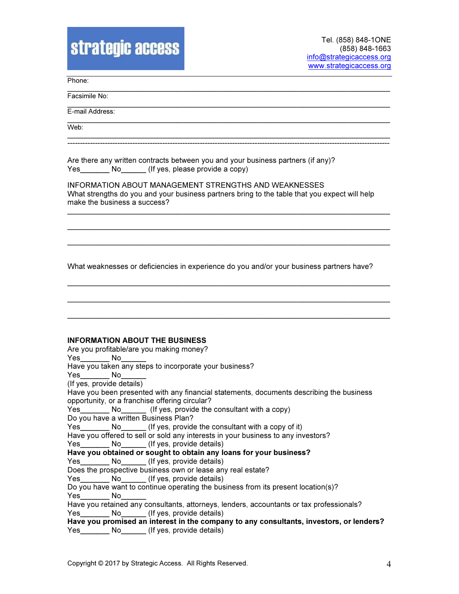## strategic access

Phone:

Facsimile No:

E-mail Address:

\_\_\_\_\_\_\_\_\_\_\_\_\_\_\_\_\_\_\_\_\_\_\_\_\_\_\_\_\_\_\_\_\_\_\_\_\_\_\_\_\_\_\_\_\_\_\_\_\_\_\_\_\_\_\_\_\_\_\_\_\_\_\_\_\_\_\_\_\_\_\_\_\_\_\_\_\_\_\_\_\_\_\_\_\_\_ Web:

Are there any written contracts between you and your business partners (if any)? Yes\_\_\_\_\_\_\_\_\_ No\_\_\_\_\_\_\_ (If yes, please provide a copy)

INFORMATION ABOUT MANAGEMENT STRENGTHS AND WEAKNESSES What strengths do you and your business partners bring to the table that you expect will help make the business a success?

\_\_\_\_\_\_\_\_\_\_\_\_\_\_\_\_\_\_\_\_\_\_\_\_\_\_\_\_\_\_\_\_\_\_\_\_\_\_\_\_\_\_\_\_\_\_\_\_\_\_\_\_\_\_\_\_\_\_\_\_\_\_\_\_\_\_\_\_\_\_\_\_\_\_\_\_\_\_\_\_\_\_\_\_\_\_

\_\_\_\_\_\_\_\_\_\_\_\_\_\_\_\_\_\_\_\_\_\_\_\_\_\_\_\_\_\_\_\_\_\_\_\_\_\_\_\_\_\_\_\_\_\_\_\_\_\_\_\_\_\_\_\_\_\_\_\_\_\_\_\_\_\_\_\_\_\_\_\_\_\_\_\_\_\_\_\_\_\_\_\_\_\_

\_\_\_\_\_\_\_\_\_\_\_\_\_\_\_\_\_\_\_\_\_\_\_\_\_\_\_\_\_\_\_\_\_\_\_\_\_\_\_\_\_\_\_\_\_\_\_\_\_\_\_\_\_\_\_\_\_\_\_\_\_\_\_\_\_\_\_\_\_\_\_\_\_\_\_\_\_\_\_\_\_\_\_\_\_\_

\_\_\_\_\_\_\_\_\_\_\_\_\_\_\_\_\_\_\_\_\_\_\_\_\_\_\_\_\_\_\_\_\_\_\_\_\_\_\_\_\_\_\_\_\_\_\_\_\_\_\_\_\_\_\_\_\_\_\_\_\_\_\_\_\_\_\_\_\_\_\_\_\_\_\_\_\_\_\_\_\_\_\_\_\_\_

 $\_$  , and the set of the set of the set of the set of the set of the set of the set of the set of the set of the set of the set of the set of the set of the set of the set of the set of the set of the set of the set of th

\_\_\_\_\_\_\_\_\_\_\_\_\_\_\_\_\_\_\_\_\_\_\_\_\_\_\_\_\_\_\_\_\_\_\_\_\_\_\_\_\_\_\_\_\_\_\_\_\_\_\_\_\_\_\_\_\_\_\_\_\_\_\_\_\_\_\_\_\_\_\_\_\_\_\_\_\_\_\_\_\_\_\_\_\_\_ ---------------------------------------------------------------------------------------------------------------------------------

What weaknesses or deficiencies in experience do you and/or your business partners have?

\_\_\_\_\_\_\_\_\_\_\_\_\_\_\_\_\_\_\_\_\_\_\_\_\_\_\_\_\_\_\_\_\_\_\_\_\_\_\_\_\_\_\_\_\_\_\_\_\_\_\_\_\_\_\_\_\_\_\_\_\_\_\_\_\_\_\_\_\_\_\_\_\_\_\_\_\_\_\_\_\_\_\_\_\_\_ \_\_\_\_\_\_\_\_\_\_\_\_\_\_\_\_\_\_\_\_\_\_\_\_\_\_\_\_\_\_\_\_\_\_\_\_\_\_\_\_\_\_\_\_\_\_\_\_\_\_\_\_\_\_\_\_\_\_\_\_\_\_\_\_\_\_\_\_\_\_\_\_\_\_\_\_\_\_\_\_\_\_\_\_\_\_ \_\_\_\_\_\_\_\_\_\_\_\_\_\_\_\_\_\_\_\_\_\_\_\_\_\_\_\_\_\_\_\_\_\_\_\_\_\_\_\_\_\_\_\_\_\_\_\_\_\_\_\_\_\_\_\_\_\_\_\_\_\_\_\_\_\_\_\_\_\_\_\_\_\_\_\_\_\_\_\_\_\_\_\_\_\_ INFORMATION ABOUT THE BUSINESS Are you profitable/are you making money? Yes No Have you taken any steps to incorporate your business? Yes<sup>\_\_\_\_\_</sup>\_\_ No (If yes, provide details) Have you been presented with any financial statements, documents describing the business opportunity, or a franchise offering circular? Yes Mo (If yes, provide the consultant with a copy) Do you have a written Business Plan? Yes Mo (If yes, provide the consultant with a copy of it) Have you offered to sell or sold any interests in your business to any investors? Yes\_\_\_\_\_\_\_\_\_ No\_\_\_\_\_\_\_ (If yes, provide details) Have you obtained or sought to obtain any loans for your business? Yes\_\_\_\_\_\_\_\_\_ No\_\_\_\_\_\_\_ (If yes, provide details) Does the prospective business own or lease any real estate? Yes Mo (If yes, provide details) Do you have want to continue operating the business from its present location(s)? Yes\_\_\_\_\_\_\_ No\_\_\_\_\_\_ Have you retained any consultants, attorneys, lenders, accountants or tax professionals? Yes\_\_\_\_\_\_\_\_\_ No\_\_\_\_\_\_\_ (If yes, provide details) Have you promised an interest in the company to any consultants, investors, or lenders? Yes Mo (If yes, provide details)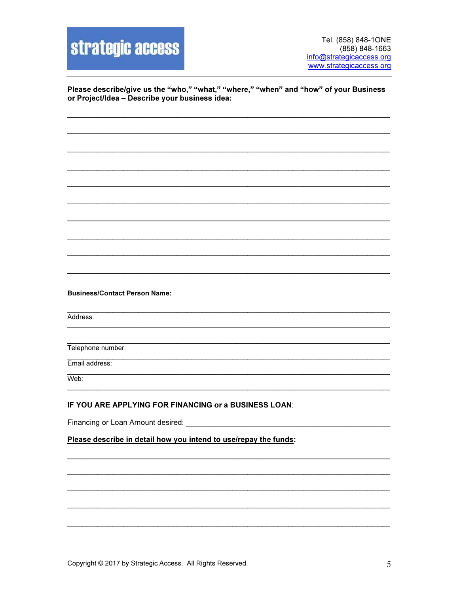## strategic access

Tel. (858) 848-1ONE (858) 848-1663 info@strategicaccess.org www.strategicaccess.org

Please describe/give us the "who," "what," "where," "when" and "how" of your Business or Project/Idea - Describe your business idea:

**Business/Contact Person Name:** 

Address:

Telephone number:

Email address:

 $Web:$ 

## IF YOU ARE APPLYING FOR FINANCING or a BUSINESS LOAN:

Financing or Loan Amount desired: \_\_\_\_\_\_\_\_\_\_\_\_

## Please describe in detail how you intend to use/repay the funds: